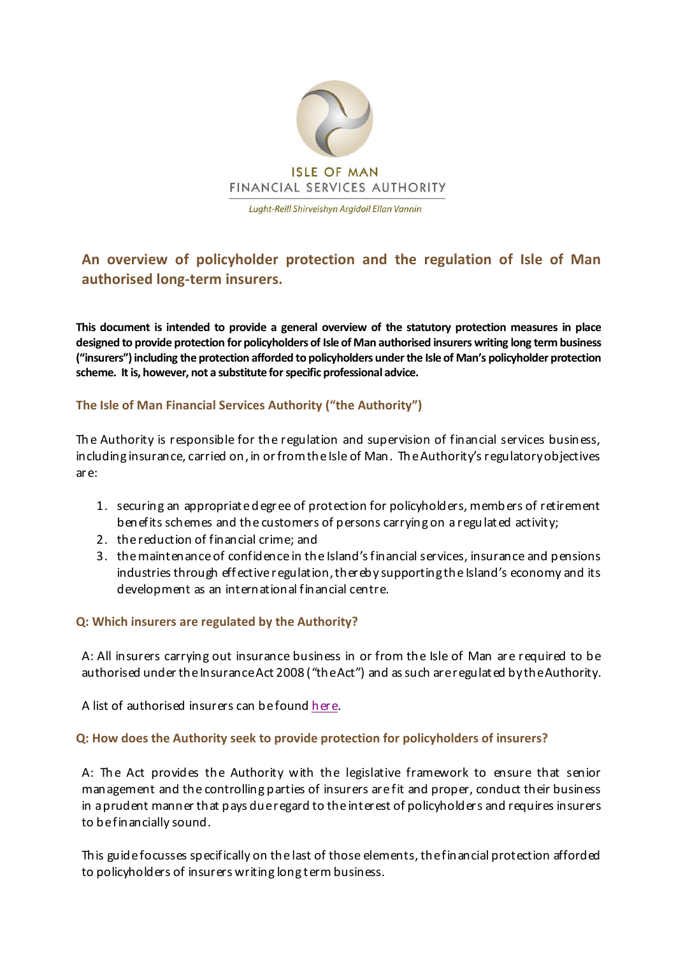

**An overview of policyholder protection and the regulation of Isle of Man authorised long-term insurers.**

**This document is intended to provide a general overview of the statutory protection measures in place designed to provide protection for policyholders of Isle of Man authorised insurers writing long term business ("insurers")including the protection afforded to policyholders under the Isle of Man's policyholder protection scheme. It is, however, not a substitute for specific professional advice.**

# **The Isle of Man Financial Services Authority ("the Authority")**

Th e Authority is responsible for the regulation and supervision of financial services business, including insurance, carried on, in or from the Isle of Man. Th e Authority's regulatory objectives are:

- 1. securing an appropriate d egree of protection for policyholders, memb ers of retirement benefits schemes and the customers of persons carrying on a regulated activity;
- 2. the reduction of financial crime; and
- 3. the maintenance of confidence in the Island's financial services, insurance and pensions industries through eff ective regulation, thereby supporting the Island's economy and its development as an international financial centre.

### **Q: Which insurers are regulated by the Authority?**

A: All insurers carrying out insurance business in or from the Isle of Man are required to be authorised under the Insurance Act 2008 ("the Act") and as such are regulated by theAuthority.

A list of authorised insurers can be found [here.](https://www.iomfsa.im/register-search/)

### **Q: How does the Authority seek to provide protection for policyholders of insurers?**

A: The Act provides the Authority with the legislative framework to ensure that senior management and the controlling parties of insurers are fit and proper, conduct their business in a prudent manner that pays due regard to the interest of policyholders and requires insurers to be financially sound.

This guide focusses specifically on the last of those elements, the financial protection afforded to policyholders of insurers writing long term business.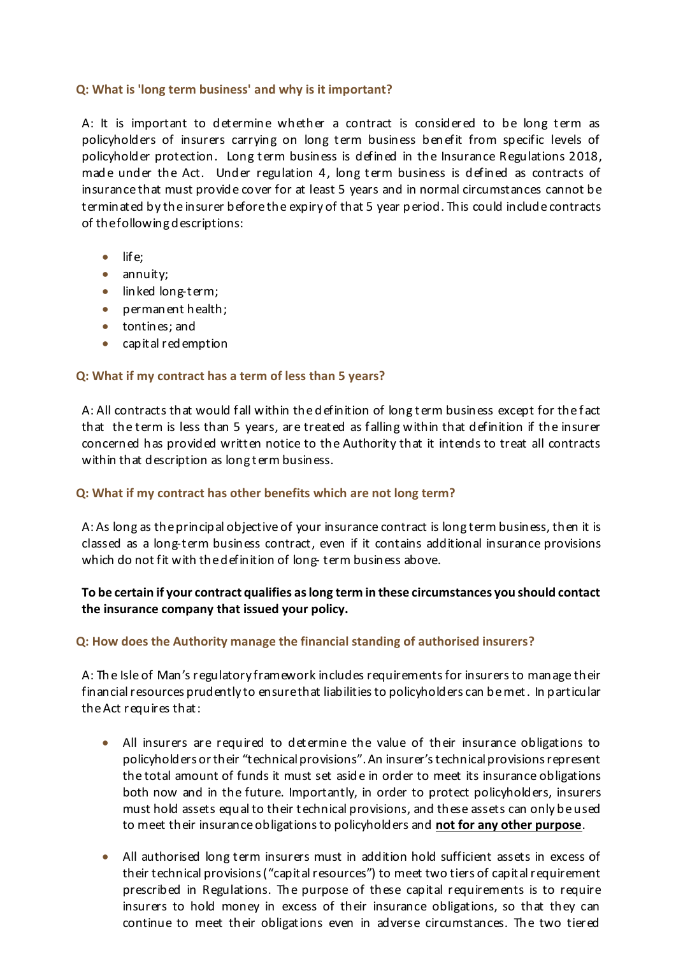## **Q: What is 'long term business' and why is it important?**

A: It is important to determine whether a contract is considered to be long term as policyholders of insurers carrying on long term business ben efit from specific levels of policyholder protection. Long term business is defined in the Insurance Regulations 2018, made under the Act. Under regulation 4, long term business is defined as contracts of insurance that must provide cover for at least 5 years and in normal circumstances cannot be terminated by the insurer before the expiry of that 5 year p eriod. This could include contracts of the following descriptions:

- $\bullet$  life;
- annuity;
- linked long-term;
- perman ent health;
- tontines; and
- capital red emption

## **Q: What if my contract has a term of less than 5 years?**

A: All contracts that would fall within the d efinition of long term business except for the f act that the term is less than 5 years, are treated as f alling within that definition if the insurer concerned has provided written notice to the Authority that it intends to treat all contracts within that description as long term business.

### **Q: What if my contract has other benefits which are not long term?**

A: As long as the principal objective of your insurance contract is long term business, then it is classed as a long-term business contract, even if it contains additional insurance provisions which do not fit with the definition of long- term business above.

# **To be certain if your contract qualifies as long term in these circumstances you should contact the insurance company that issued your policy.**

# **Q: How does the Authority manage the financial standing of authorised insurers?**

A: Th e Isle of Man's regulatory framework includes requirements for insurers to manage their financial resources prudently to ensure that liabilities to policy holders can be met. In particular theAct requires that:

- All insurers are required to determine the value of their insurance obligations to policyholders ortheir "technical provisions". An insurer's technical provisions represent the total amount of funds it must set asid e in order to meet its insurance obligations both now and in the future. Importantly, in order to protect policyholders, insurers must hold assets equal to their technical provisions, and these assets can only be used to meet their insurance obligations to policyholders and **not for any other purpose**.
- All authorised long term insurers must in addition hold sufficient assets in excess of their technical provisions ("capital resources") to meet two tiers of capital requirement prescribed in Regulations. Th e purpose of these capital requirements is to require insurers to hold money in excess of their insurance obligations, so that they can continue to meet their obligations even in adverse circumstances. The two tiered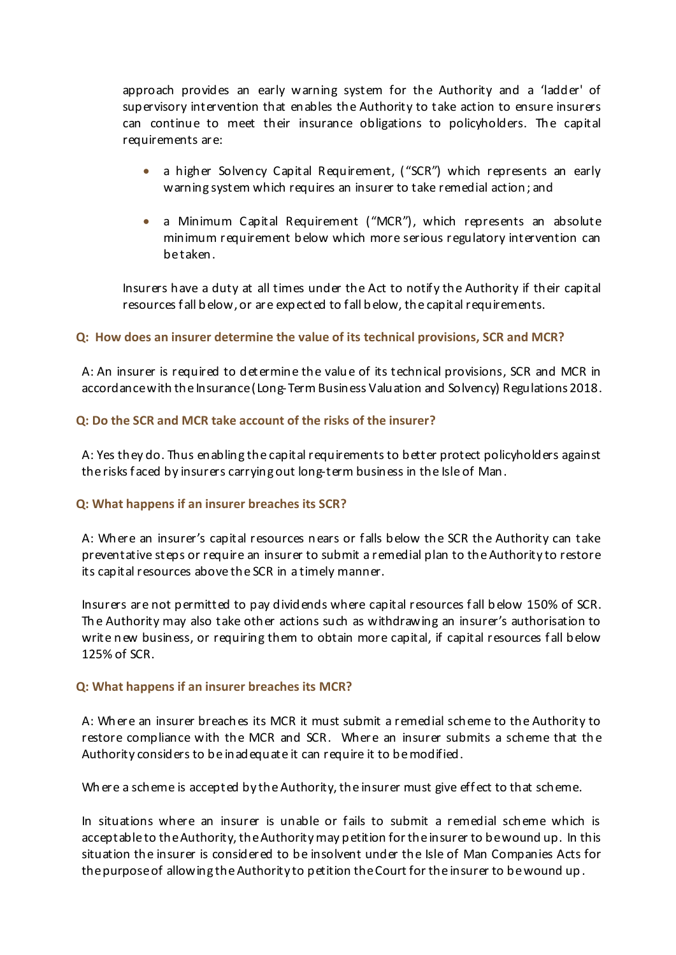approach provides an early warning system for the Authority and a 'ladder' of supervisory intervention that enables the Authority to take action to ensure insurers can continue to meet their insurance obligations to policyholders. The capital requirements are:

- a higher Solvency Capital Requirement, ("SCR") which represents an early warning system which requires an insurer to take remedial action; and
- a Minimum Capital Requirement ("MCR"), which represents an absolute minimum requirement below which more serious regulatory intervention can be taken.

Insurers have a duty at all times under the Act to notify the Authority if their capital resources f all b elow, or are exp ected to fall b elow, the capital requirements.

## **Q: How does an insurer determine the value of its technical provisions, SCR and MCR?**

A: An insurer is required to determine the valu e of its technical provisions, SCR and MCR in accordance with the Insurance(Long-Term Business Valuation and Solvency) Regulations 2018.

## **Q: Do the SCR and MCR take account of the risks of the insurer?**

A: Yes they do. Thus enabling the capital requirements to better protect policyholders against therisks f aced by insurers carrying out long-term business in the Isle of Man.

### **Q: What happens if an insurer breaches its SCR?**

A: Wh ere an insurer's capital resources n ears or falls below the SCR the Authority can take preventative steps or require an insurer to submit a remedial plan to the Authority to restore its capital resources above the SCR in a timely manner.

Insurers are not permitted to pay divid ends where capital resources f all b elow 150% of SCR. Th e Authority may also take other actions such as withdrawing an insurer's authorisation to write new business, or requiring them to obtain more capital, if capital resources fall below 125% of SCR.

### **Q: What happens if an insurer breaches its MCR?**

A: Wh ere an insurer breach es its MCR it must submit a remedial sch eme to the Authority to restore compliance with the MCR and SCR. Where an insurer submits a scheme that the Authority considers to be inad equate it can require it to be modified.

Wh ere a scheme is accepted by the Authority, the insurer must give effect to that scheme.

In situations where an insurer is unable or fails to submit a remedial sch eme which is acceptable to the Authority, the Authority may p etition for the insurer to be wound up. In this situation the insurer is considered to be insolvent under the Isle of Man Companies Acts for the purpose of allowing the Authority to petition the Court for the insurer to be wound up .